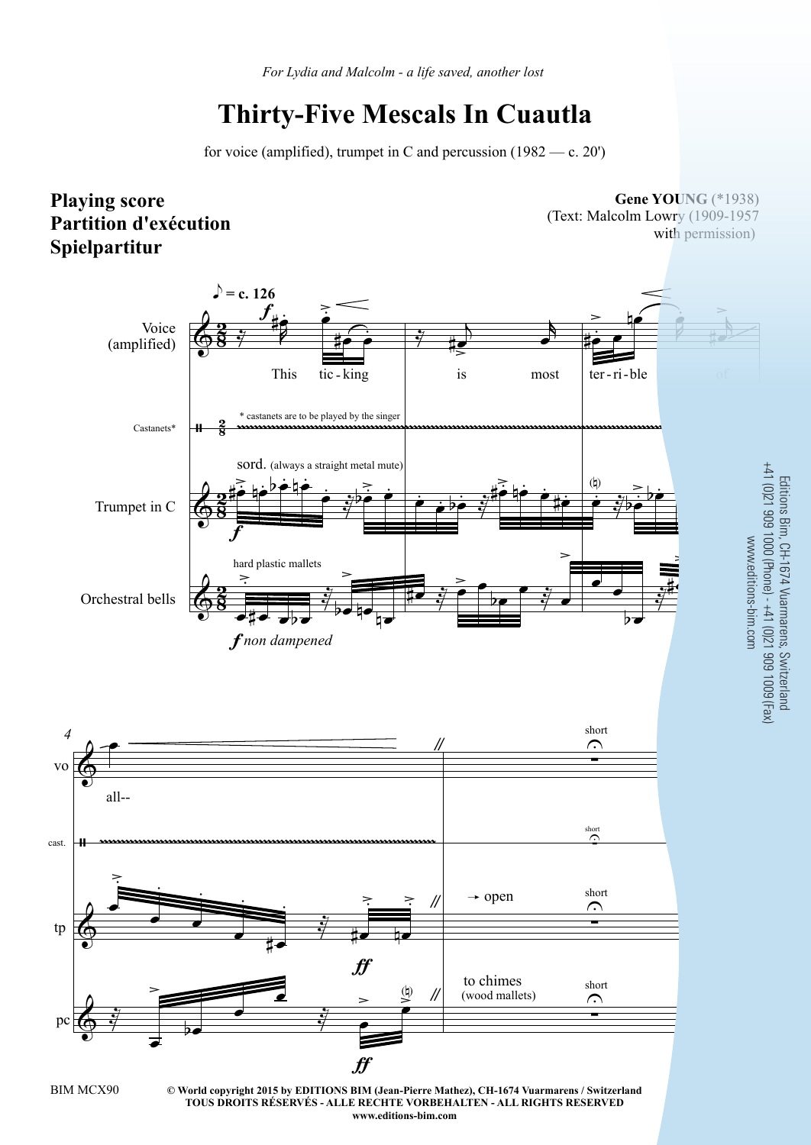## **Thirty-Five Mescals In Cuautla**

for voice (amplified), trumpet in C and percussion (1982 — c. 20')



**www.editions-bim.com**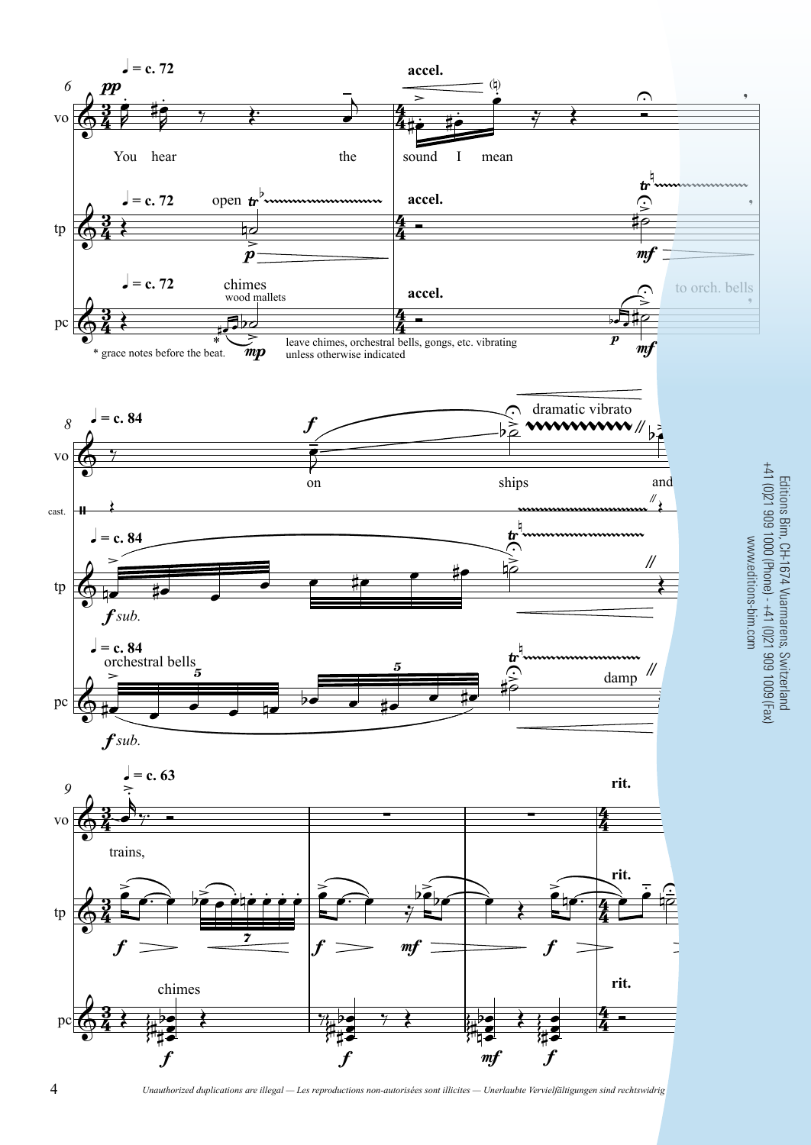

Editions Bim, CH-1674 Vuarmarens, Switzerland

 $u$ *Unauthorized duplications are illegal — Les reproductions non-autorisées sont illicites — Unerlaubte Vervielfältigungen sind rechtswidrig*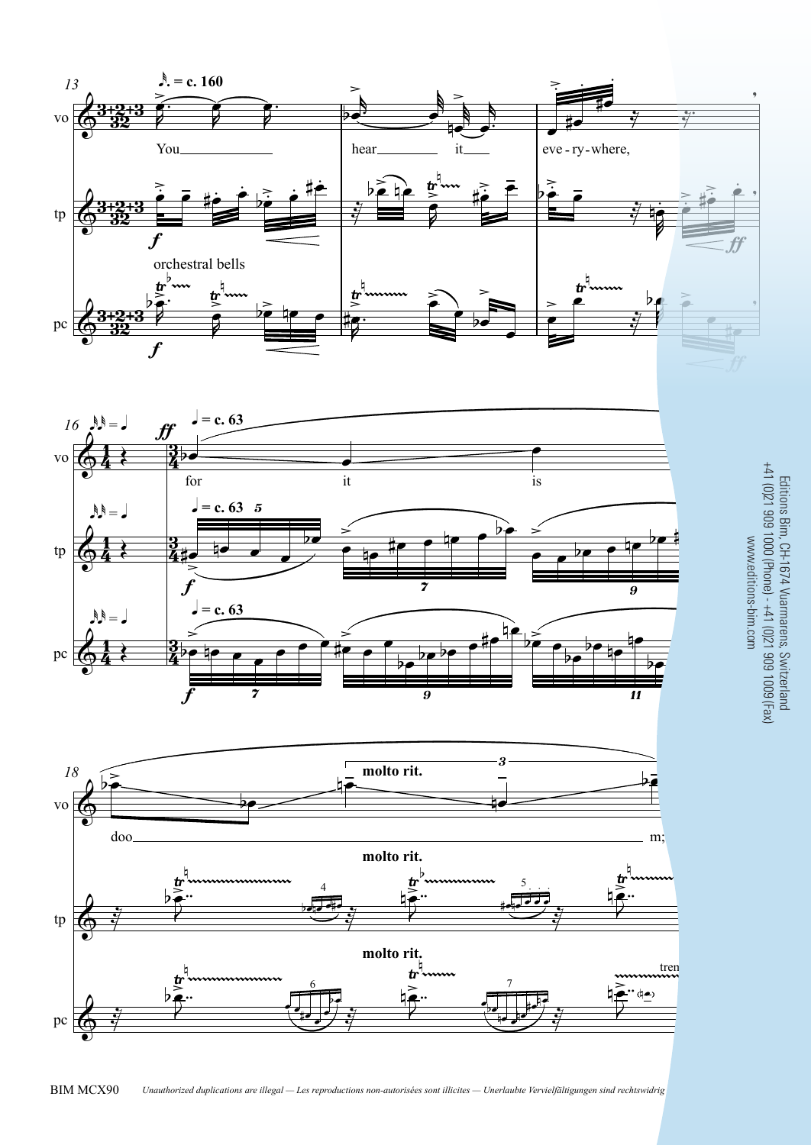



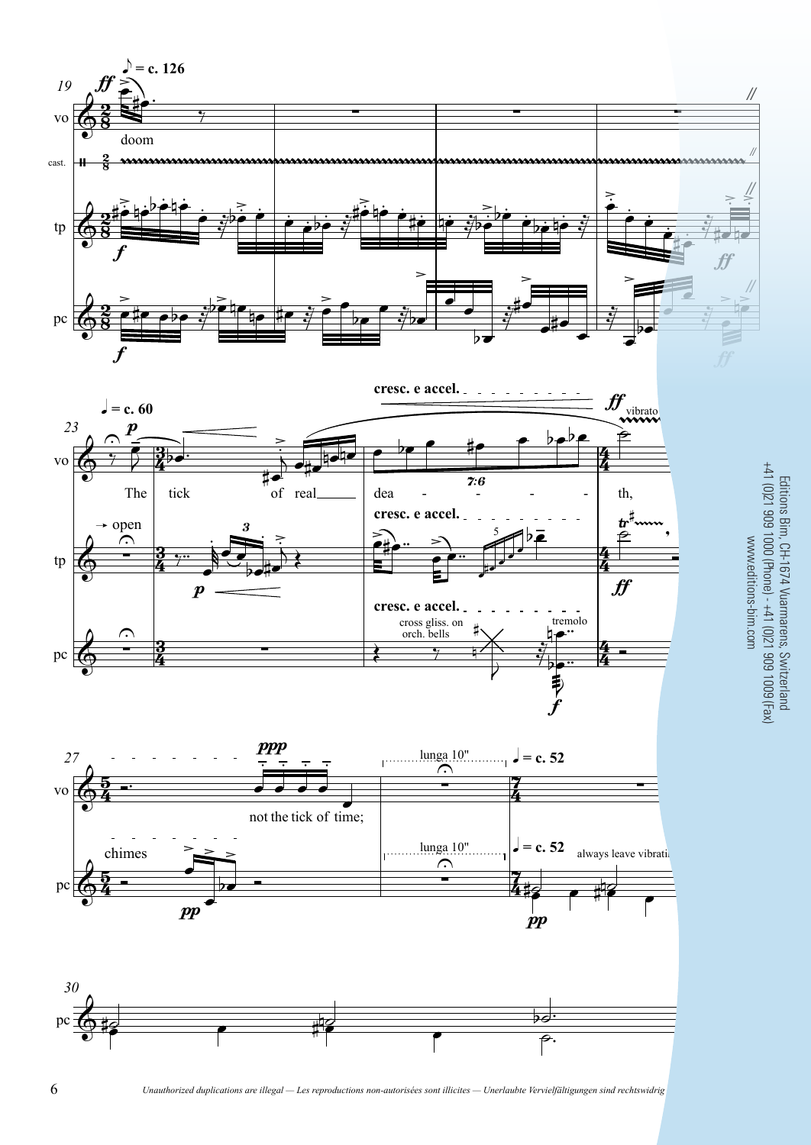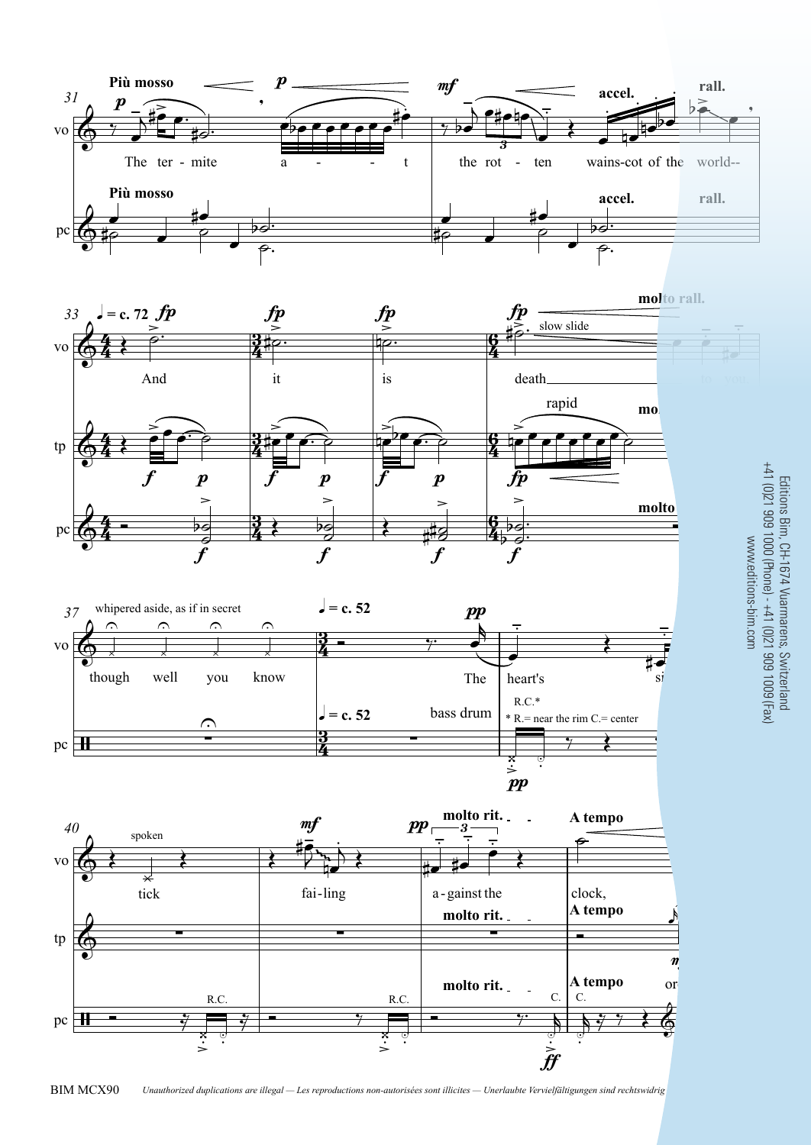







Editions Bim, CH-1674 Vuarmarens, Switzerland<br>+41 (0)21 909 1000 (Phone) - +41 (0)21 909 1009 (Fax) www.editions-bim.com

**BIM MCX90** Unauthorized duplications are illegal - Les reproductions non-autorisées sont illicites - Unerlaubte Vervielfältigungen sind rechtswidrig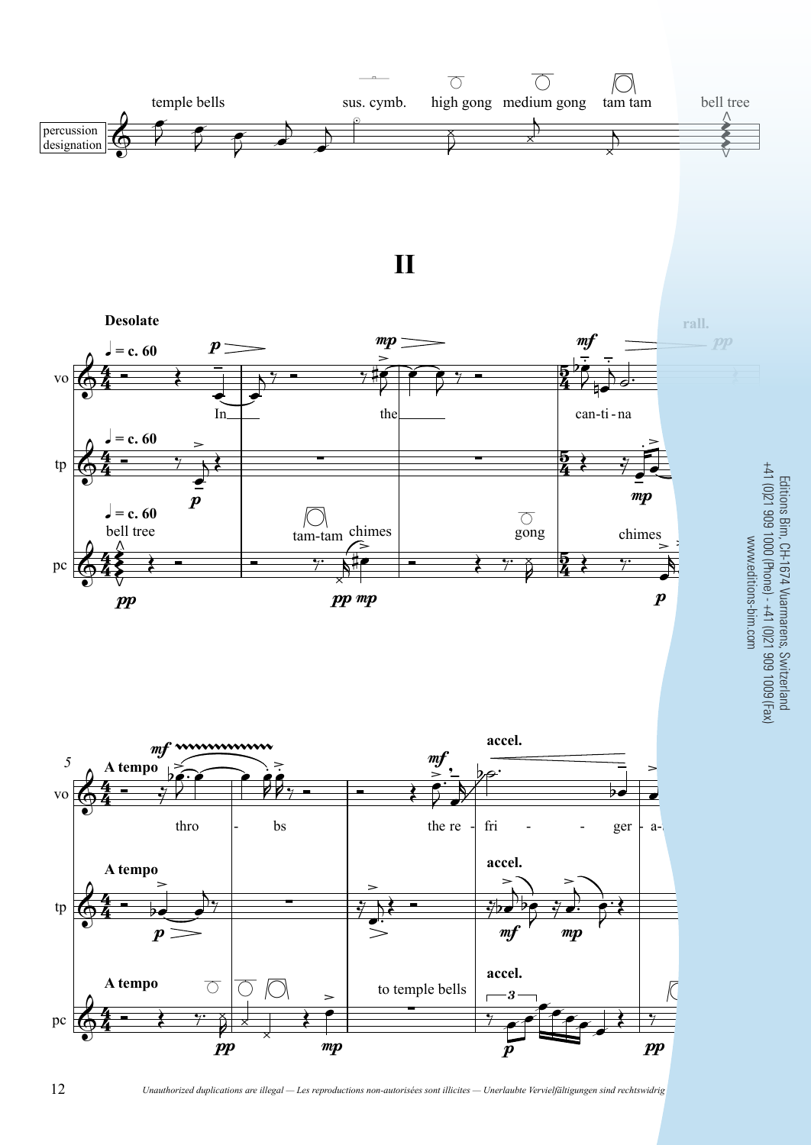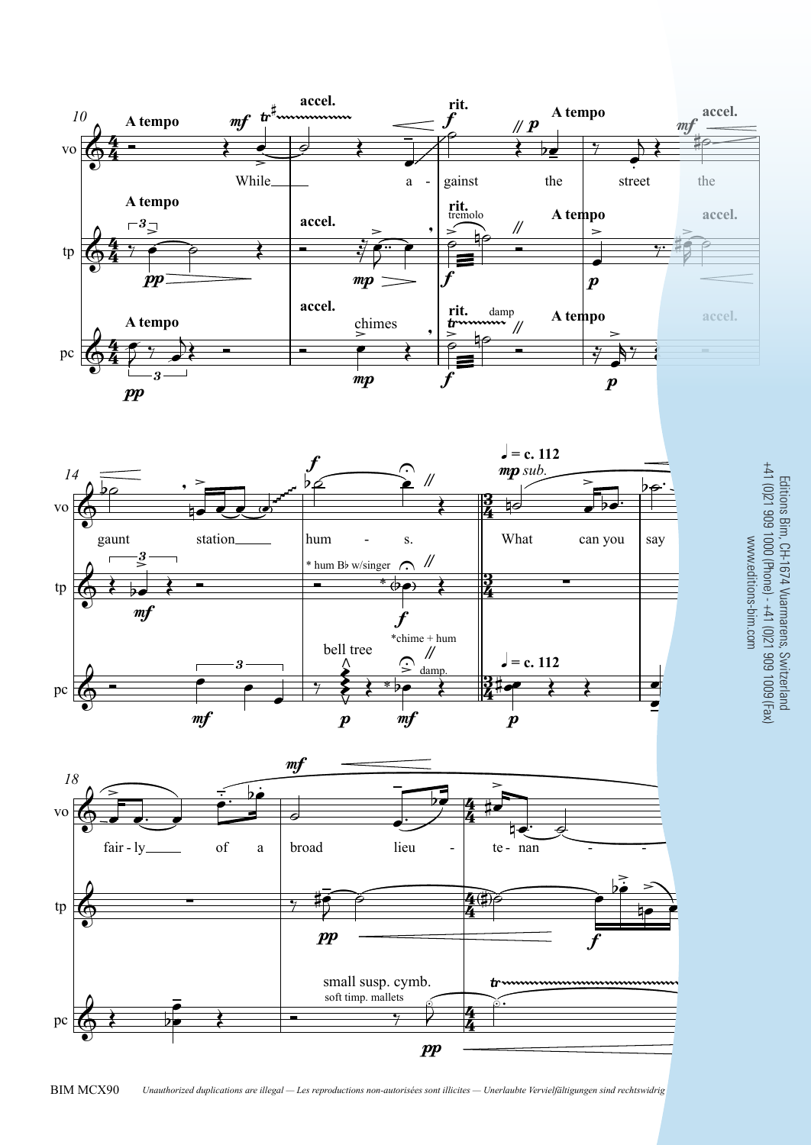![](_page_6_Figure_0.jpeg)

![](_page_6_Figure_1.jpeg)

![](_page_6_Figure_2.jpeg)

Editions Bim, CH-1674 Vuarmarens, Switzerland<br>+41 (0)21 909 1000 (Phone) - +41 (0)21 909 1009 (Fax) Editions Bim, CH-1674 Vuarmarens, Switzerland +41 (0)21 909 1000 (Phone) - +41 (0)21 909 1009 (Fax) www.editions-bim.com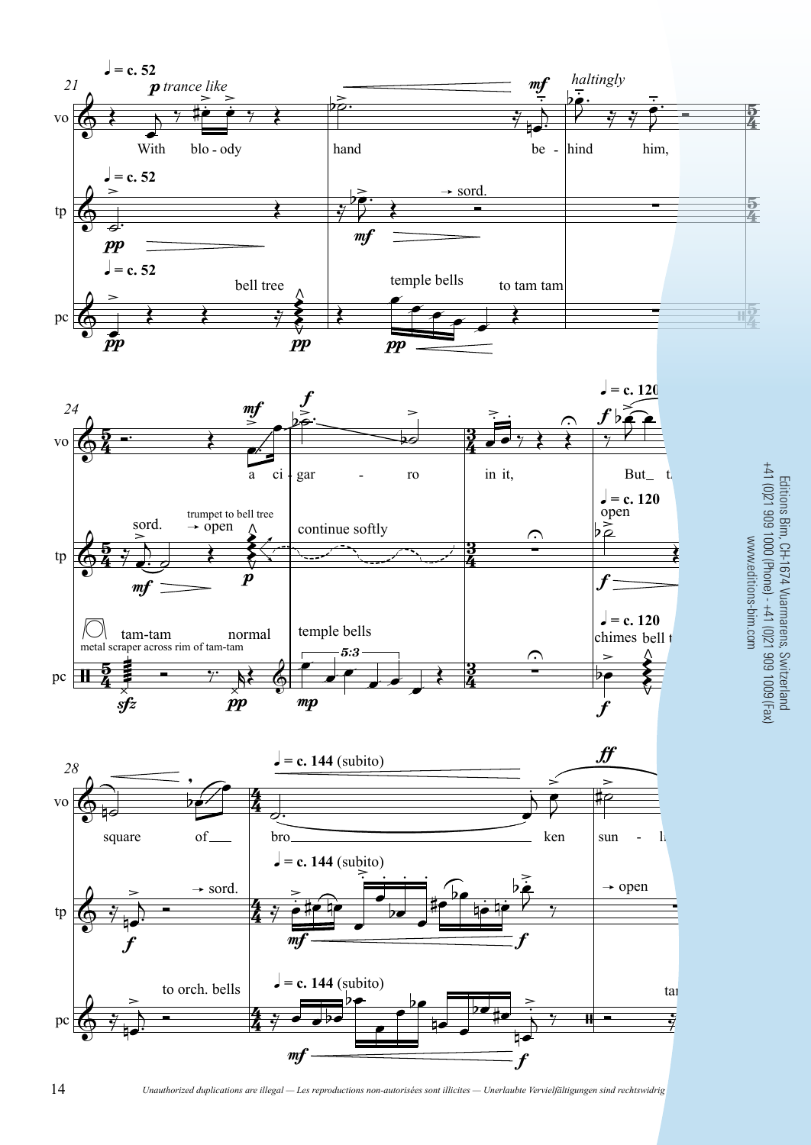![](_page_7_Figure_0.jpeg)

![](_page_7_Figure_1.jpeg)

![](_page_7_Figure_2.jpeg)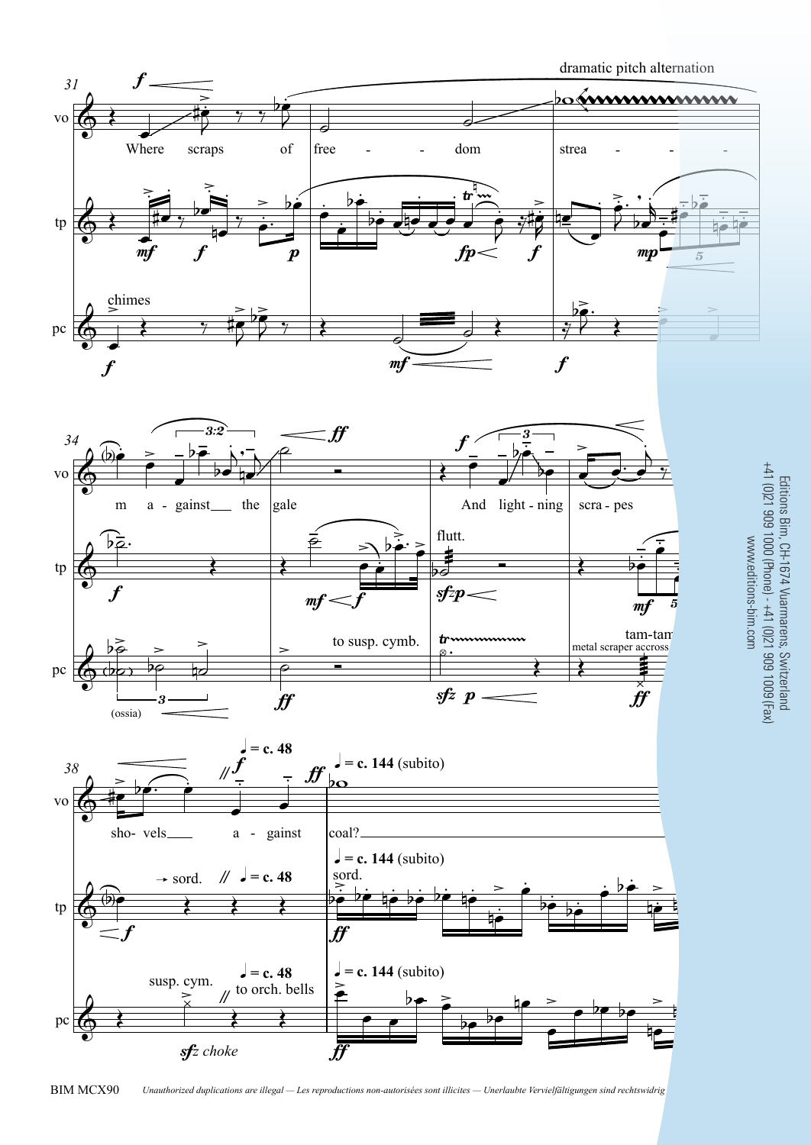dramatic pitch alternation

![](_page_8_Figure_1.jpeg)

![](_page_8_Figure_2.jpeg)

![](_page_8_Figure_3.jpeg)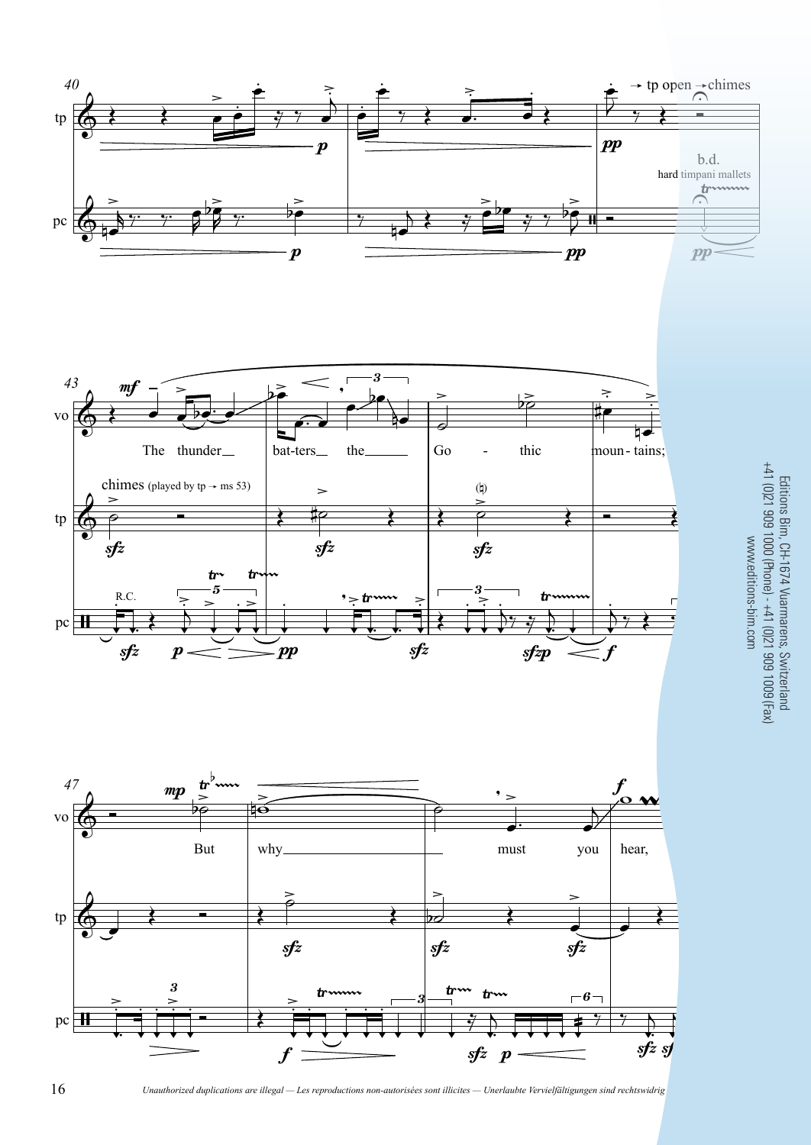![](_page_9_Figure_0.jpeg)

![](_page_9_Figure_1.jpeg)

![](_page_9_Figure_2.jpeg)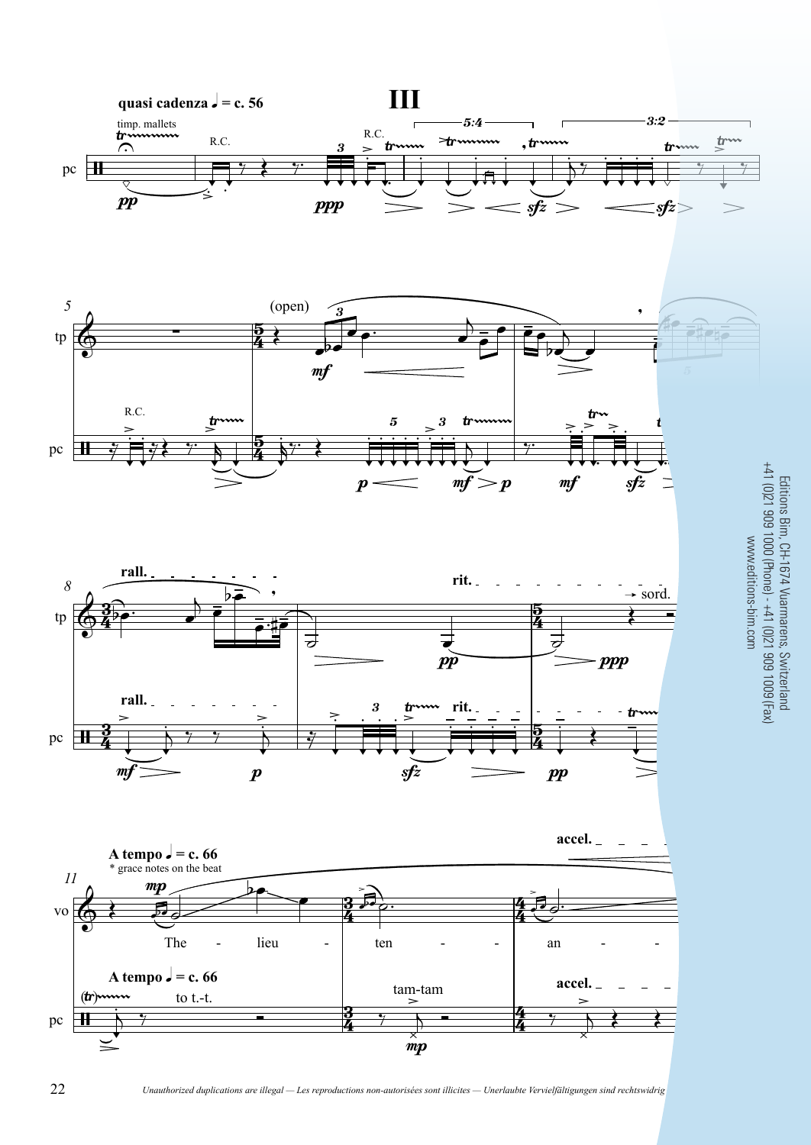![](_page_10_Figure_0.jpeg)

 $U$ nauthorized duplications are illegal — Les reproductions non-autorisées sont illicites — Unerlaubte Vervielfältigungen sind rechtswidrig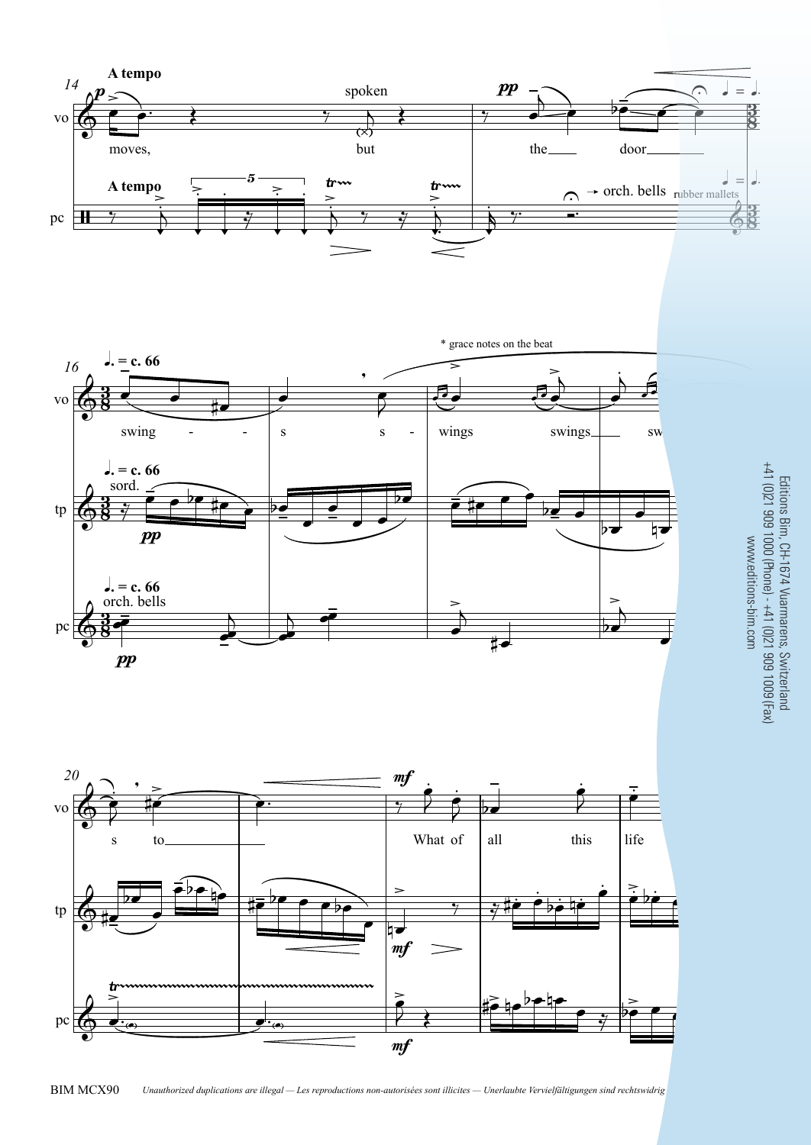![](_page_11_Figure_0.jpeg)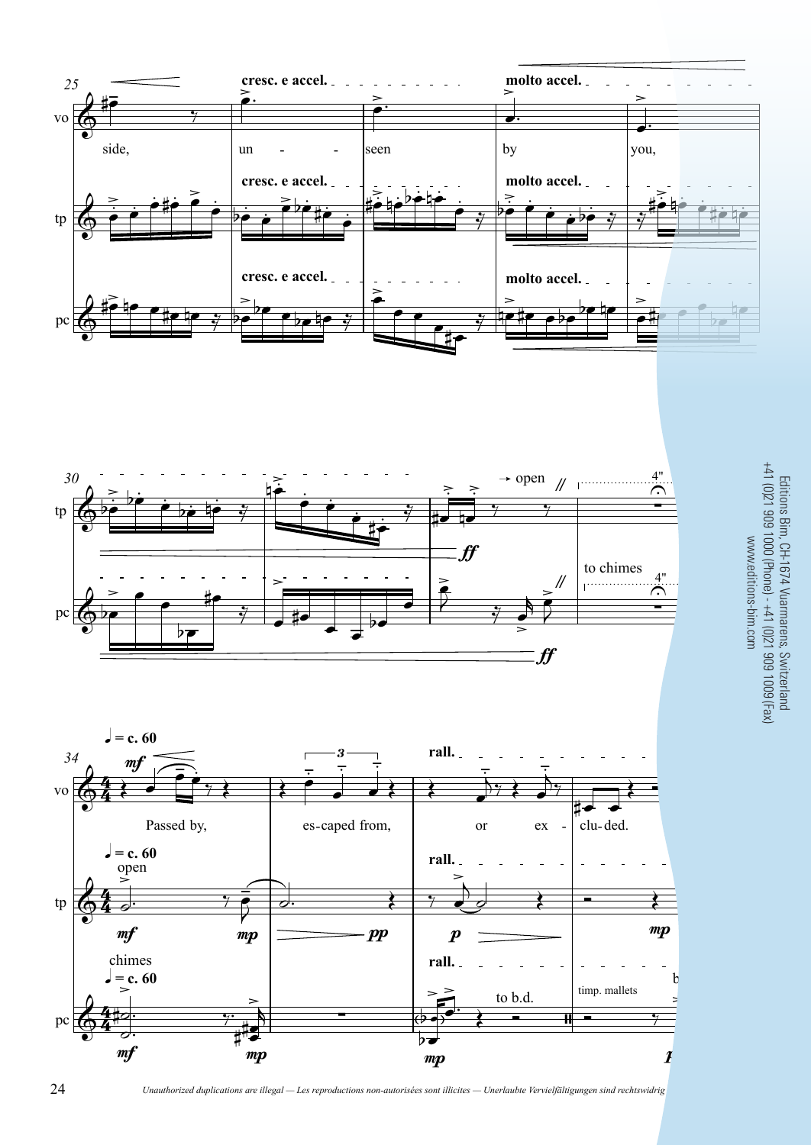![](_page_12_Figure_0.jpeg)

![](_page_12_Figure_1.jpeg)

![](_page_12_Figure_2.jpeg)

Editions Bim, CH-1674 Vuarmarens, Switzerland<br>+41 (0)21 909 1000 (Phone) - +41 (0)21 909 1009 (Fax) www.editions-bim.com

Unauthorized duplications are illegal - Les reproductions non-autorisées sont illicites - Unerlaubte Vervielfältigungen sind rechtswidrig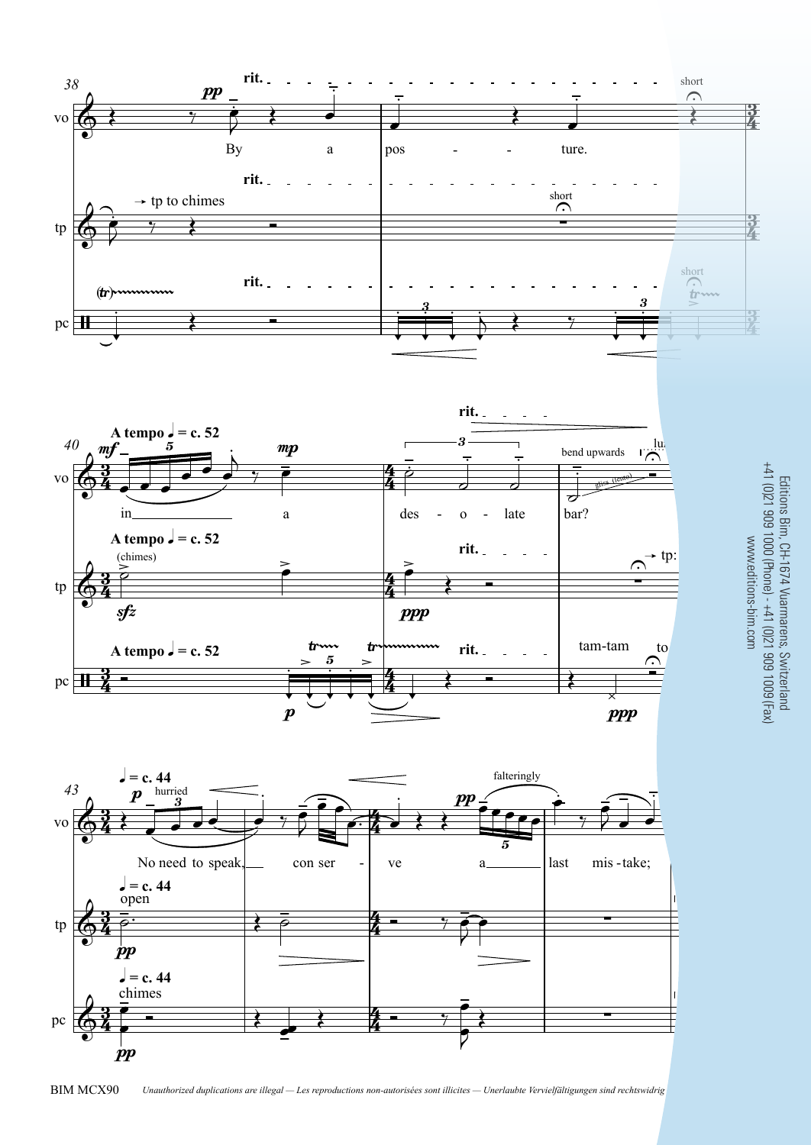![](_page_13_Figure_0.jpeg)

![](_page_13_Figure_1.jpeg)